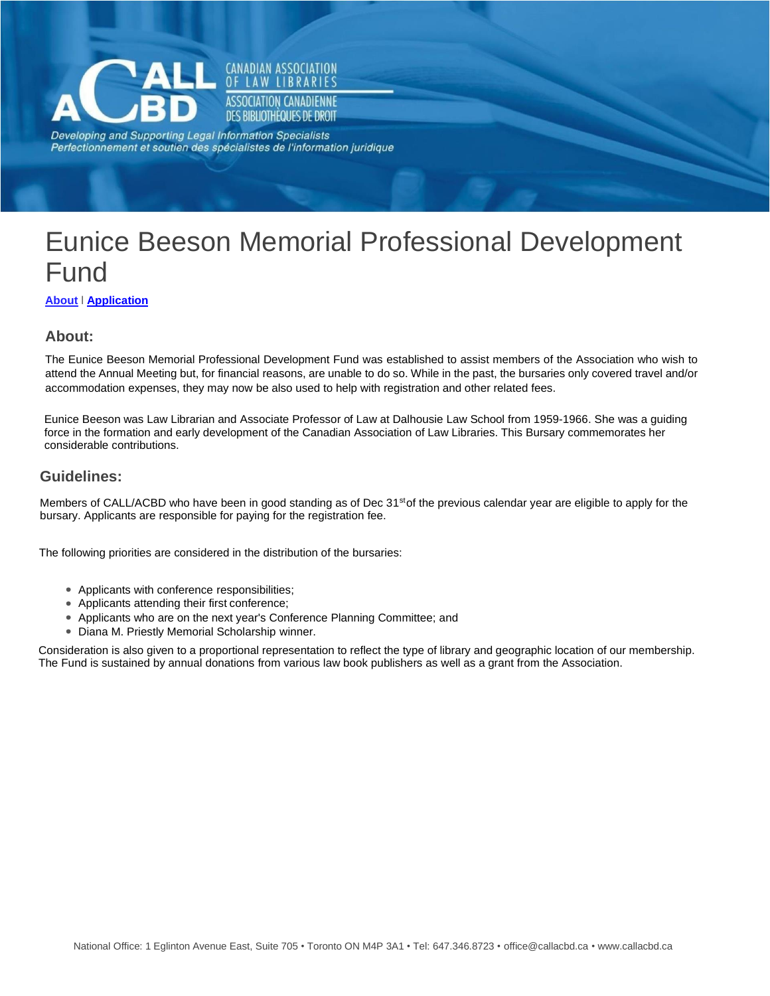<span id="page-0-0"></span>

**CANADIAN ASSOCIATION** LAW LIBRARIES **ASSOCIATION CANADIENNE** DES BIBLIOTHEQUES DE DROIT

Developing and Supporting Legal Information Specialists Perfectionnement et soutien des spécialistes de l'information juridique

# Eunice Beeson Memorial Professional Development Fund

**[About](#page-0-0)** [l](#page-0-0) **[Ap](#page-0-0)plication**

# **About:**

The Eunice Beeson Memorial Professional Development Fund was established to assist members of the Association who wish to attend the Annual Meeting but, for financial reasons, are unable to do so. While in the past, the bursaries only covered travel and/or accommodation expenses, they may now be also used to help with registration and other related fees.

Eunice Beeson was Law Librarian and Associate Professor of Law at Dalhousie Law School from 1959-1966. She was a guiding force in the formation and early development of the Canadian Association of Law Libraries. This Bursary commemorates her considerable contributions.

### **Guidelines:**

Members of CALL/ACBD who have been in good standing as of Dec 31<sup>st</sup>of the previous calendar year are eligible to apply for the bursary. Applicants are responsible for paying for the registration fee.

The following priorities are considered in the distribution of the bursaries:

- Applicants with conference responsibilities;
- Applicants attending their first conference;
- Applicants who are on the next year's Conference Planning Committee; and
- Diana M. Priestly Memorial Scholarship winner.

Consideration is also given to a proportional representation to reflect the type of library and geographic location of our membership. The Fund is sustained by annual donations from various law book publishers as well as a grant from the Association.